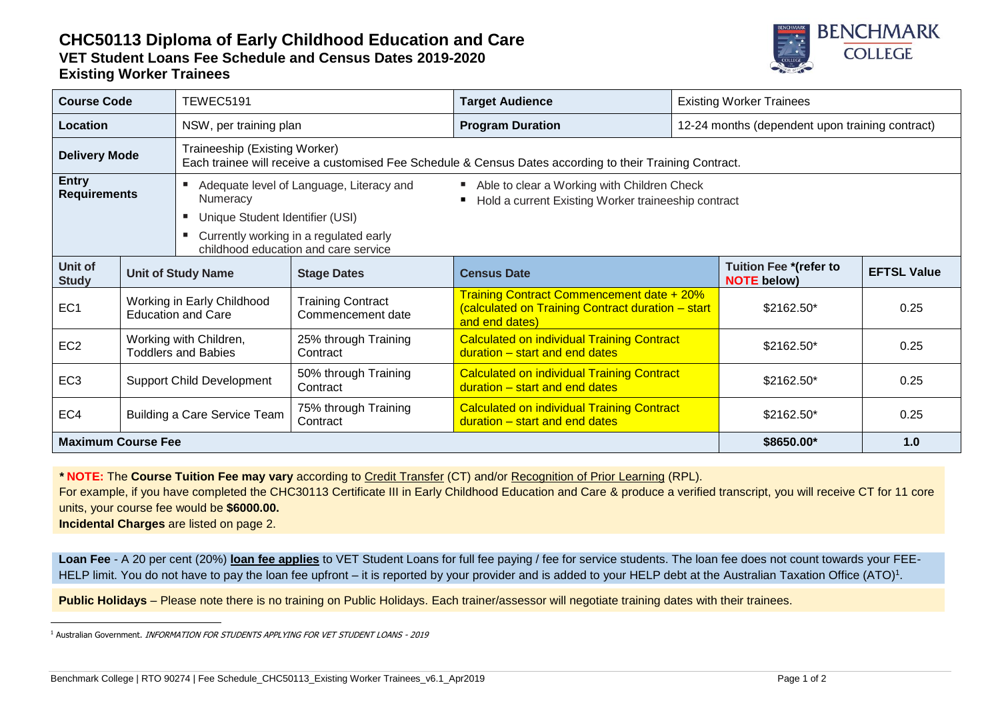## **CHC50113 Diploma of Early Childhood Education and Care VET Student Loans Fee Schedule and Census Dates 2019-2020 Existing Worker Trainees**



| <b>Course Code</b>                  |                                                         | TEWEC5191                                                                                                                                 |                                               | <b>Target Audience</b>                                                                                                  |  | <b>Existing Worker Trainees</b>                     |                    |  |
|-------------------------------------|---------------------------------------------------------|-------------------------------------------------------------------------------------------------------------------------------------------|-----------------------------------------------|-------------------------------------------------------------------------------------------------------------------------|--|-----------------------------------------------------|--------------------|--|
| Location                            |                                                         | NSW, per training plan                                                                                                                    |                                               | <b>Program Duration</b>                                                                                                 |  | 12-24 months (dependent upon training contract)     |                    |  |
| <b>Delivery Mode</b>                |                                                         | Traineeship (Existing Worker)<br>Each trainee will receive a customised Fee Schedule & Census Dates according to their Training Contract. |                                               |                                                                                                                         |  |                                                     |                    |  |
| <b>Entry</b><br><b>Requirements</b> |                                                         | Adequate level of Language, Literacy and<br>Numeracy                                                                                      |                                               | Able to clear a Working with Children Check<br>Hold a current Existing Worker traineeship contract<br>٠                 |  |                                                     |                    |  |
|                                     |                                                         | Unique Student Identifier (USI)                                                                                                           |                                               |                                                                                                                         |  |                                                     |                    |  |
|                                     |                                                         | Currently working in a regulated early<br>childhood education and care service                                                            |                                               |                                                                                                                         |  |                                                     |                    |  |
| Unit of<br><b>Study</b>             | <b>Unit of Study Name</b>                               |                                                                                                                                           | <b>Stage Dates</b>                            | <b>Census Date</b>                                                                                                      |  | <b>Tuition Fee *(refer to</b><br><b>NOTE below)</b> | <b>EFTSL Value</b> |  |
| EC <sub>1</sub>                     | Working in Early Childhood<br><b>Education and Care</b> |                                                                                                                                           | <b>Training Contract</b><br>Commencement date | <b>Training Contract Commencement date + 20%</b><br>(calculated on Training Contract duration - start<br>and end dates) |  | \$2162.50*                                          | 0.25               |  |
| EC <sub>2</sub>                     | Working with Children,<br><b>Toddlers and Babies</b>    |                                                                                                                                           | 25% through Training<br>Contract              | <b>Calculated on individual Training Contract</b><br>duration – start and end dates                                     |  | $$2162.50*$                                         | 0.25               |  |
| EC <sub>3</sub>                     | <b>Support Child Development</b>                        |                                                                                                                                           | 50% through Training<br>Contract              | <b>Calculated on individual Training Contract</b><br>duration - start and end dates                                     |  | \$2162.50*                                          | 0.25               |  |
| EC4                                 |                                                         | Building a Care Service Team                                                                                                              | 75% through Training<br>Contract              | <b>Calculated on individual Training Contract</b><br>duration - start and end dates                                     |  | \$2162.50*                                          | 0.25               |  |
| <b>Maximum Course Fee</b>           |                                                         |                                                                                                                                           | \$8650.00*                                    | 1.0                                                                                                                     |  |                                                     |                    |  |

*\** **NOTE:** The **Course Tuition Fee may vary** according to Credit Transfer (CT) and/or Recognition of Prior Learning (RPL).

For example, if you have completed the CHC30113 Certificate III in Early Childhood Education and Care & produce a verified transcript, you will receive CT for 11 core units, your course fee would be **\$6000.00.**

**Incidental Charges** are listed on page 2.

-

**Loan Fee** - A 20 per cent (20%) **loan fee applies** to VET Student Loans for full fee paying / fee for service students. The loan fee does not count towards your FEE-HELP limit. You do not have to pay the loan fee upfront – it is reported by your provider and is added to your HELP debt at the Australian Taxation Office (ATO)<sup>1</sup>.

**Public Holidays** – Please note there is no training on Public Holidays. Each trainer/assessor will negotiate training dates with their trainees.

<sup>&</sup>lt;sup>1</sup> Australian Government. INFORMATION FOR STUDENTS APPLYING FOR VET STUDENT LOANS - 2019